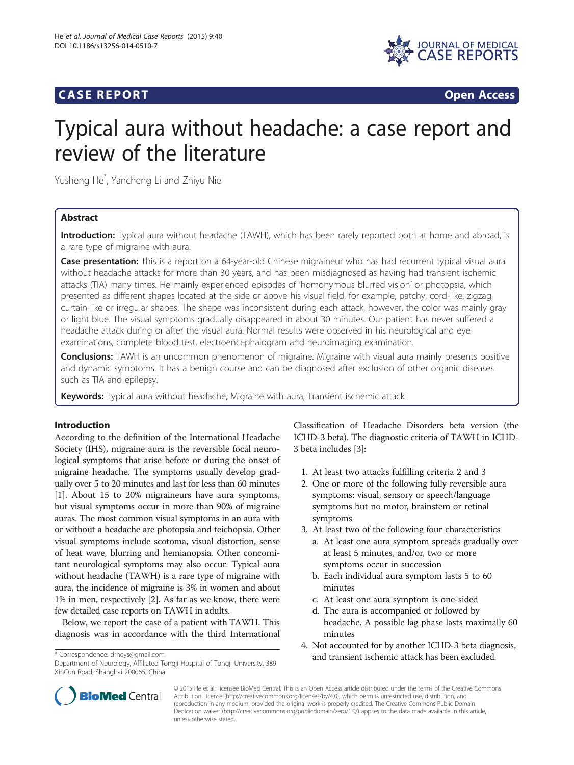## **CASE REPORT CASE REPORT**



# Typical aura without headache: a case report and review of the literature

Yusheng He\* , Yancheng Li and Zhiyu Nie

## Abstract

Introduction: Typical aura without headache (TAWH), which has been rarely reported both at home and abroad, is a rare type of migraine with aura.

Case presentation: This is a report on a 64-year-old Chinese migraineur who has had recurrent typical visual aura without headache attacks for more than 30 years, and has been misdiagnosed as having had transient ischemic attacks (TIA) many times. He mainly experienced episodes of 'homonymous blurred vision' or photopsia, which presented as different shapes located at the side or above his visual field, for example, patchy, cord-like, zigzag, curtain-like or irregular shapes. The shape was inconsistent during each attack, however, the color was mainly gray or light blue. The visual symptoms gradually disappeared in about 30 minutes. Our patient has never suffered a headache attack during or after the visual aura. Normal results were observed in his neurological and eye examinations, complete blood test, electroencephalogram and neuroimaging examination.

**Conclusions:** TAWH is an uncommon phenomenon of migraine. Migraine with visual aura mainly presents positive and dynamic symptoms. It has a benign course and can be diagnosed after exclusion of other organic diseases such as TIA and epilepsy.

Keywords: Typical aura without headache, Migraine with aura, Transient ischemic attack

## Introduction

According to the definition of the International Headache Society (IHS), migraine aura is the reversible focal neurological symptoms that arise before or during the onset of migraine headache. The symptoms usually develop gradually over 5 to 20 minutes and last for less than 60 minutes [[1\]](#page-4-0). About 15 to 20% migraineurs have aura symptoms, but visual symptoms occur in more than 90% of migraine auras. The most common visual symptoms in an aura with or without a headache are photopsia and teichopsia. Other visual symptoms include scotoma, visual distortion, sense of heat wave, blurring and hemianopsia. Other concomitant neurological symptoms may also occur. Typical aura without headache (TAWH) is a rare type of migraine with aura, the incidence of migraine is 3% in women and about 1% in men, respectively [[2](#page-4-0)]. As far as we know, there were few detailed case reports on TAWH in adults.

Below, we report the case of a patient with TAWH. This diagnosis was in accordance with the third International

Classification of Headache Disorders beta version (the ICHD-3 beta). The diagnostic criteria of TAWH in ICHD-3 beta includes [\[3\]](#page-4-0):

- 1. At least two attacks fulfilling criteria 2 and 3
- 2. One or more of the following fully reversible aura symptoms: visual, sensory or speech/language symptoms but no motor, brainstem or retinal symptoms
- 3. At least two of the following four characteristics
	- a. At least one aura symptom spreads gradually over at least 5 minutes, and/or, two or more symptoms occur in succession
	- b. Each individual aura symptom lasts 5 to 60 minutes
	- c. At least one aura symptom is one-sided
	- d. The aura is accompanied or followed by headache. A possible lag phase lasts maximally 60 minutes
- 4. Not accounted for by another ICHD-3 beta diagnosis, and transient ischemic attack has been excluded. \* Correspondence: [drheys@gmail.com](mailto:drheys@gmail.com)



© 2015 He et al.; licensee BioMed Central. This is an Open Access article distributed under the terms of the Creative Commons Attribution License (<http://creativecommons.org/licenses/by/4.0>), which permits unrestricted use, distribution, and reproduction in any medium, provided the original work is properly credited. The Creative Commons Public Domain Dedication waiver [\(http://creativecommons.org/publicdomain/zero/1.0/](http://creativecommons.org/publicdomain/zero/1.0/)) applies to the data made available in this article, unless otherwise stated.

Department of Neurology, Affiliated Tongji Hospital of Tongji University, 389 XinCun Road, Shanghai 200065, China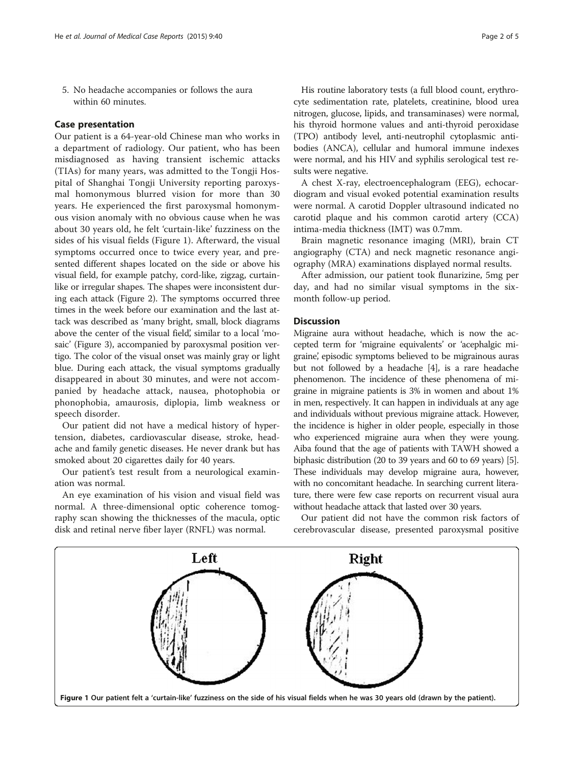5. No headache accompanies or follows the aura within 60 minutes.

## Case presentation

Our patient is a 64-year-old Chinese man who works in a department of radiology. Our patient, who has been misdiagnosed as having transient ischemic attacks (TIAs) for many years, was admitted to the Tongji Hospital of Shanghai Tongji University reporting paroxysmal homonymous blurred vision for more than 30 years. He experienced the first paroxysmal homonymous vision anomaly with no obvious cause when he was about 30 years old, he felt 'curtain-like' fuzziness on the sides of his visual fields (Figure 1). Afterward, the visual symptoms occurred once to twice every year, and presented different shapes located on the side or above his visual field, for example patchy, cord-like, zigzag, curtainlike or irregular shapes. The shapes were inconsistent during each attack (Figure [2](#page-2-0)). The symptoms occurred three times in the week before our examination and the last attack was described as 'many bright, small, block diagrams above the center of the visual field', similar to a local 'mosaic' (Figure [3](#page-2-0)), accompanied by paroxysmal position vertigo. The color of the visual onset was mainly gray or light blue. During each attack, the visual symptoms gradually disappeared in about 30 minutes, and were not accompanied by headache attack, nausea, photophobia or phonophobia, amaurosis, diplopia, limb weakness or speech disorder.

Our patient did not have a medical history of hypertension, diabetes, cardiovascular disease, stroke, headache and family genetic diseases. He never drank but has smoked about 20 cigarettes daily for 40 years.

Our patient's test result from a neurological examination was normal.

An eye examination of his vision and visual field was normal. A three-dimensional optic coherence tomography scan showing the thicknesses of the macula, optic disk and retinal nerve fiber layer (RNFL) was normal.

nitrogen, glucose, lipids, and transaminases) were normal, his thyroid hormone values and anti-thyroid peroxidase (TPO) antibody level, anti-neutrophil cytoplasmic antibodies (ANCA), cellular and humoral immune indexes were normal, and his HIV and syphilis serological test results were negative.

A chest X-ray, electroencephalogram (EEG), echocardiogram and visual evoked potential examination results were normal. A carotid Doppler ultrasound indicated no carotid plaque and his common carotid artery (CCA) intima-media thickness (IMT) was 0.7mm.

Brain magnetic resonance imaging (MRI), brain CT angiography (CTA) and neck magnetic resonance angiography (MRA) examinations displayed normal results.

After admission, our patient took flunarizine, 5mg per day, and had no similar visual symptoms in the sixmonth follow-up period.

## **Discussion**

Migraine aura without headache, which is now the accepted term for 'migraine equivalents' or 'acephalgic migraine, episodic symptoms believed to be migrainous auras but not followed by a headache [[4\]](#page-4-0), is a rare headache phenomenon. The incidence of these phenomena of migraine in migraine patients is 3% in women and about 1% in men, respectively. It can happen in individuals at any age and individuals without previous migraine attack. However, the incidence is higher in older people, especially in those who experienced migraine aura when they were young. Aiba found that the age of patients with TAWH showed a biphasic distribution (20 to 39 years and 60 to 69 years) [[5](#page-4-0)]. These individuals may develop migraine aura, however, with no concomitant headache. In searching current literature, there were few case reports on recurrent visual aura without headache attack that lasted over 30 years.

Our patient did not have the common risk factors of cerebrovascular disease, presented paroxysmal positive

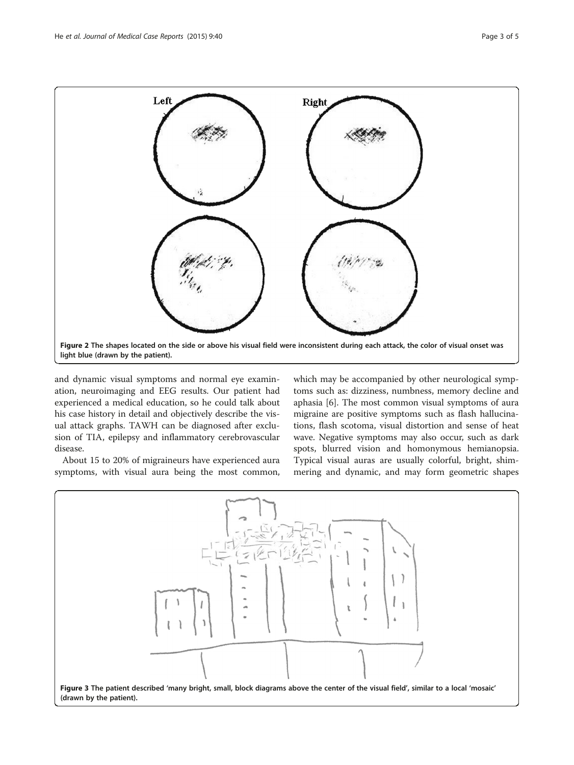<span id="page-2-0"></span>

and dynamic visual symptoms and normal eye examination, neuroimaging and EEG results. Our patient had experienced a medical education, so he could talk about his case history in detail and objectively describe the visual attack graphs. TAWH can be diagnosed after exclusion of TIA, epilepsy and inflammatory cerebrovascular disease.

About 15 to 20% of migraineurs have experienced aura symptoms, with visual aura being the most common, which may be accompanied by other neurological symptoms such as: dizziness, numbness, memory decline and aphasia [\[6](#page-4-0)]. The most common visual symptoms of aura migraine are positive symptoms such as flash hallucinations, flash scotoma, visual distortion and sense of heat wave. Negative symptoms may also occur, such as dark spots, blurred vision and homonymous hemianopsia. Typical visual auras are usually colorful, bright, shimmering and dynamic, and may form geometric shapes

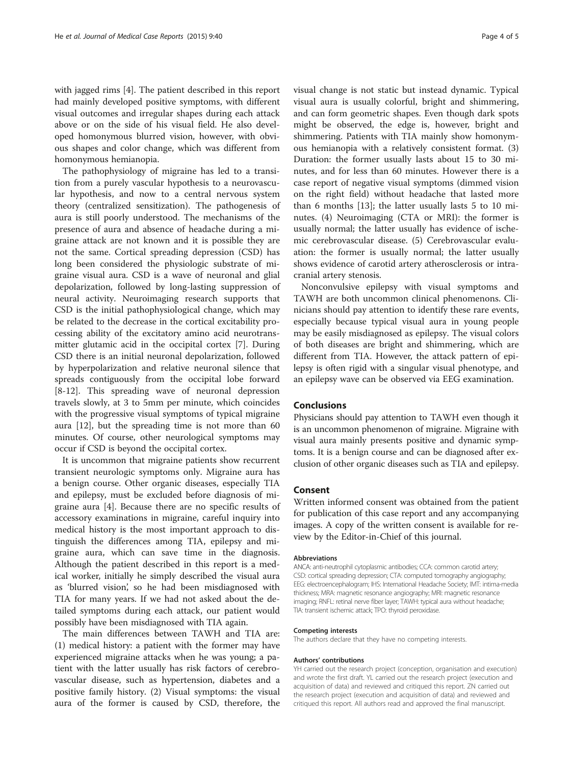with jagged rims [[4\]](#page-4-0). The patient described in this report had mainly developed positive symptoms, with different visual outcomes and irregular shapes during each attack above or on the side of his visual field. He also developed homonymous blurred vision, however, with obvious shapes and color change, which was different from homonymous hemianopia.

The pathophysiology of migraine has led to a transition from a purely vascular hypothesis to a neurovascular hypothesis, and now to a central nervous system theory (centralized sensitization). The pathogenesis of aura is still poorly understood. The mechanisms of the presence of aura and absence of headache during a migraine attack are not known and it is possible they are not the same. Cortical spreading depression (CSD) has long been considered the physiologic substrate of migraine visual aura. CSD is a wave of neuronal and glial depolarization, followed by long-lasting suppression of neural activity. Neuroimaging research supports that CSD is the initial pathophysiological change, which may be related to the decrease in the cortical excitability processing ability of the excitatory amino acid neurotransmitter glutamic acid in the occipital cortex [\[7](#page-4-0)]. During CSD there is an initial neuronal depolarization, followed by hyperpolarization and relative neuronal silence that spreads contiguously from the occipital lobe forward [[8-12](#page-4-0)]. This spreading wave of neuronal depression travels slowly, at 3 to 5mm per minute, which coincides with the progressive visual symptoms of typical migraine aura [\[12\]](#page-4-0), but the spreading time is not more than 60 minutes. Of course, other neurological symptoms may occur if CSD is beyond the occipital cortex.

It is uncommon that migraine patients show recurrent transient neurologic symptoms only. Migraine aura has a benign course. Other organic diseases, especially TIA and epilepsy, must be excluded before diagnosis of migraine aura [[4\]](#page-4-0). Because there are no specific results of accessory examinations in migraine, careful inquiry into medical history is the most important approach to distinguish the differences among TIA, epilepsy and migraine aura, which can save time in the diagnosis. Although the patient described in this report is a medical worker, initially he simply described the visual aura as 'blurred vision', so he had been misdiagnosed with TIA for many years. If we had not asked about the detailed symptoms during each attack, our patient would possibly have been misdiagnosed with TIA again.

The main differences between TAWH and TIA are: (1) medical history: a patient with the former may have experienced migraine attacks when he was young; a patient with the latter usually has risk factors of cerebrovascular disease, such as hypertension, diabetes and a positive family history. (2) Visual symptoms: the visual aura of the former is caused by CSD, therefore, the

visual change is not static but instead dynamic. Typical visual aura is usually colorful, bright and shimmering, and can form geometric shapes. Even though dark spots might be observed, the edge is, however, bright and shimmering. Patients with TIA mainly show homonymous hemianopia with a relatively consistent format. (3) Duration: the former usually lasts about 15 to 30 minutes, and for less than 60 minutes. However there is a case report of negative visual symptoms (dimmed vision on the right field) without headache that lasted more than 6 months [[13\]](#page-4-0); the latter usually lasts 5 to 10 minutes. (4) Neuroimaging (CTA or MRI): the former is usually normal; the latter usually has evidence of ischemic cerebrovascular disease. (5) Cerebrovascular evaluation: the former is usually normal; the latter usually shows evidence of carotid artery atherosclerosis or intracranial artery stenosis.

Nonconvulsive epilepsy with visual symptoms and TAWH are both uncommon clinical phenomenons. Clinicians should pay attention to identify these rare events, especially because typical visual aura in young people may be easily misdiagnosed as epilepsy. The visual colors of both diseases are bright and shimmering, which are different from TIA. However, the attack pattern of epilepsy is often rigid with a singular visual phenotype, and an epilepsy wave can be observed via EEG examination.

## Conclusions

Physicians should pay attention to TAWH even though it is an uncommon phenomenon of migraine. Migraine with visual aura mainly presents positive and dynamic symptoms. It is a benign course and can be diagnosed after exclusion of other organic diseases such as TIA and epilepsy.

## Consent

Written informed consent was obtained from the patient for publication of this case report and any accompanying images. A copy of the written consent is available for review by the Editor-in-Chief of this journal.

#### Abbreviations

ANCA: anti-neutrophil cytoplasmic antibodies; CCA: common carotid artery; CSD: cortical spreading depression; CTA: computed tomography angiography; EEG: electroencephalogram; IHS: International Headache Society; IMT: intima-media thickness; MRA: magnetic resonance angiography; MRI: magnetic resonance imaging; RNFL: retinal nerve fiber layer; TAWH: typical aura without headache; TIA: transient ischemic attack; TPO: thyroid peroxidase.

#### Competing interests

The authors declare that they have no competing interests.

#### Authors' contributions

YH carried out the research project (conception, organisation and execution) and wrote the first draft. YL carried out the research project (execution and acquisition of data) and reviewed and critiqued this report. ZN carried out the research project (execution and acquisition of data) and reviewed and critiqued this report. All authors read and approved the final manuscript.